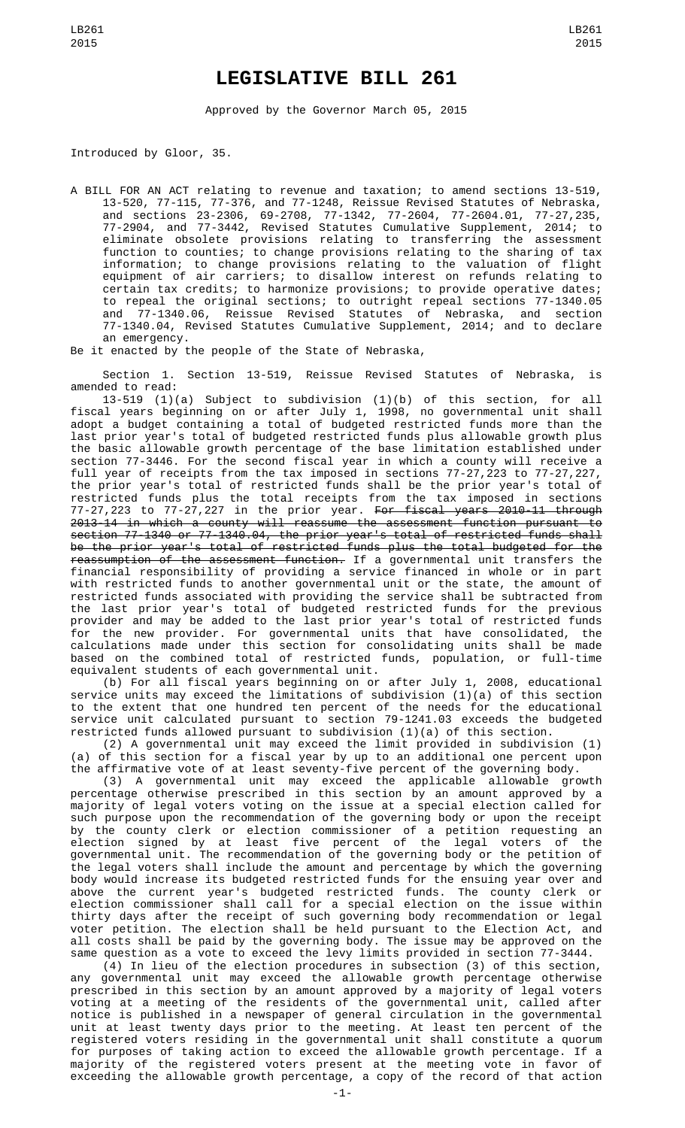## **LEGISLATIVE BILL 261**

Approved by the Governor March 05, 2015

Introduced by Gloor, 35.

A BILL FOR AN ACT relating to revenue and taxation; to amend sections 13-519, 13-520, 77-115, 77-376, and 77-1248, Reissue Revised Statutes of Nebraska, and sections 23-2306, 69-2708, 77-1342, 77-2604, 77-2604.01, 77-27,235, 77-2904, and 77-3442, Revised Statutes Cumulative Supplement, 2014; to eliminate obsolete provisions relating to transferring the assessment function to counties; to change provisions relating to the sharing of tax information; to change provisions relating to the valuation of flight equipment of air carriers; to disallow interest on refunds relating to certain tax credits; to harmonize provisions; to provide operative dates; to repeal the original sections; to outright repeal sections 77-1340.05 and 77-1340.06, Reissue Revised Statutes of Nebraska, and section 77-1340.04, Revised Statutes Cumulative Supplement, 2014; and to declare an emergency.

Be it enacted by the people of the State of Nebraska,

Section 1. Section 13-519, Reissue Revised Statutes of Nebraska, is amended to read:

13-519 (1)(a) Subject to subdivision (1)(b) of this section, for all fiscal years beginning on or after July 1, 1998, no governmental unit shall adopt a budget containing a total of budgeted restricted funds more than the last prior year's total of budgeted restricted funds plus allowable growth plus the basic allowable growth percentage of the base limitation established under section 77-3446. For the second fiscal year in which a county will receive a full year of receipts from the tax imposed in sections 77-27,223 to 77-27,227, the prior year's total of restricted funds shall be the prior year's total of restricted funds plus the total receipts from the tax imposed in sections 77-27,223 to 77-27,227 in the prior year. <del>For fiscal years 2010-11 through</del> 2013-14 in which a county will reassume the assessment function pursuant to section 77-1340 or 77-1340.04, the prior year's total of restricted funds shall be the prior year's total of restricted funds plus the total budgeted for the reassumption of the assessment function. If a governmental unit transfers the financial responsibility of providing a service financed in whole or in part with restricted funds to another governmental unit or the state, the amount of restricted funds associated with providing the service shall be subtracted from the last prior year's total of budgeted restricted funds for the previous provider and may be added to the last prior year's total of restricted funds for the new provider. For governmental units that have consolidated, the calculations made under this section for consolidating units shall be made based on the combined total of restricted funds, population, or full-time equivalent students of each governmental unit.

(b) For all fiscal years beginning on or after July 1, 2008, educational service units may exceed the limitations of subdivision (1)(a) of this section to the extent that one hundred ten percent of the needs for the educational service unit calculated pursuant to section 79-1241.03 exceeds the budgeted restricted funds allowed pursuant to subdivision (1)(a) of this section.

(2) A governmental unit may exceed the limit provided in subdivision (1) (a) of this section for a fiscal year by up to an additional one percent upon the affirmative vote of at least seventy-five percent of the governing body.

(3) A governmental unit may exceed the applicable allowable growth percentage otherwise prescribed in this section by an amount approved by a majority of legal voters voting on the issue at a special election called for such purpose upon the recommendation of the governing body or upon the receipt by the county clerk or election commissioner of a petition requesting an election signed by at least five percent of the legal voters of the governmental unit. The recommendation of the governing body or the petition of the legal voters shall include the amount and percentage by which the governing body would increase its budgeted restricted funds for the ensuing year over and above the current year's budgeted restricted funds. The county clerk or election commissioner shall call for a special election on the issue within thirty days after the receipt of such governing body recommendation or legal voter petition. The election shall be held pursuant to the Election Act, and all costs shall be paid by the governing body. The issue may be approved on the same question as a vote to exceed the levy limits provided in section 77-3444.

(4) In lieu of the election procedures in subsection (3) of this section, any governmental unit may exceed the allowable growth percentage otherwise prescribed in this section by an amount approved by a majority of legal voters voting at a meeting of the residents of the governmental unit, called after notice is published in a newspaper of general circulation in the governmental unit at least twenty days prior to the meeting. At least ten percent of the registered voters residing in the governmental unit shall constitute a quorum for purposes of taking action to exceed the allowable growth percentage. If a majority of the registered voters present at the meeting vote in favor of exceeding the allowable growth percentage, a copy of the record of that action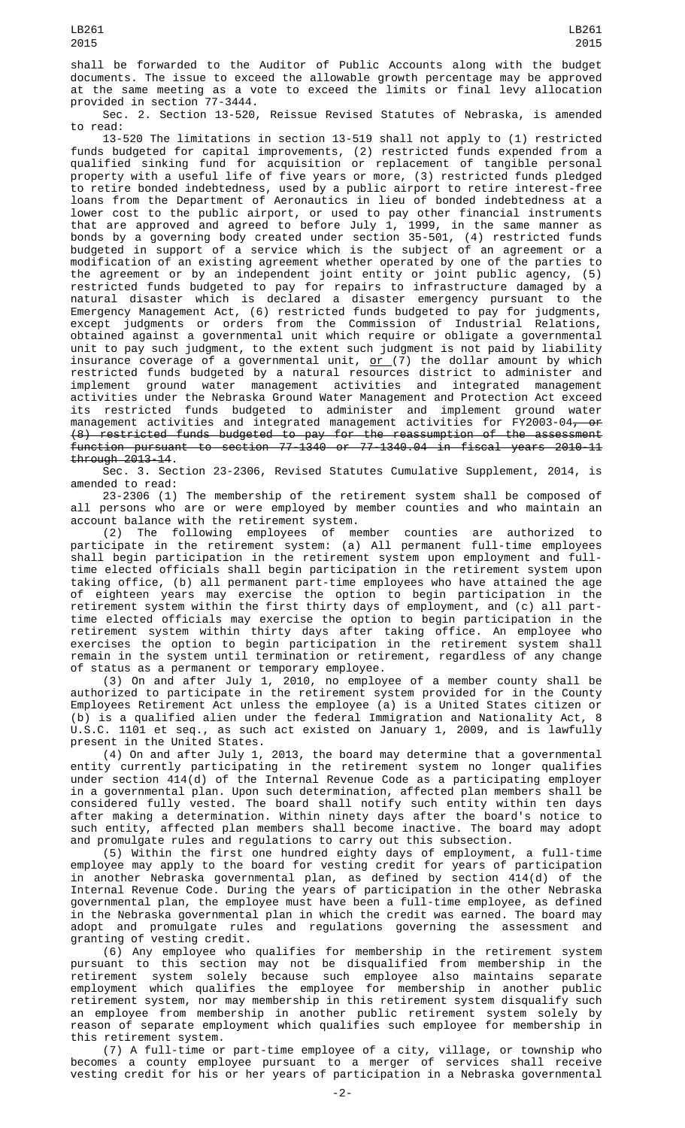shall be forwarded to the Auditor of Public Accounts along with the budget documents. The issue to exceed the allowable growth percentage may be approved at the same meeting as a vote to exceed the limits or final levy allocation provided in section 77-3444.

Sec. 2. Section 13-520, Reissue Revised Statutes of Nebraska, is amended to read:

13-520 The limitations in section 13-519 shall not apply to (1) restricted funds budgeted for capital improvements, (2) restricted funds expended from a qualified sinking fund for acquisition or replacement of tangible personal property with a useful life of five years or more, (3) restricted funds pledged to retire bonded indebtedness, used by a public airport to retire interest-free loans from the Department of Aeronautics in lieu of bonded indebtedness at a lower cost to the public airport, or used to pay other financial instruments that are approved and agreed to before July 1, 1999, in the same manner as bonds by a governing body created under section 35-501, (4) restricted funds budgeted in support of a service which is the subject of an agreement or a modification of an existing agreement whether operated by one of the parties to the agreement or by an independent joint entity or joint public agency, (5) restricted funds budgeted to pay for repairs to infrastructure damaged by a natural disaster which is declared a disaster emergency pursuant to the Emergency Management Act, (6) restricted funds budgeted to pay for judgments, except judgments or orders from the Commission of Industrial Relations, obtained against a governmental unit which require or obligate a governmental unit to pay such judgment, to the extent such judgment is not paid by liability insurance coverage of a governmental unit, <u>or (</u>7) the dollar amount by which restricted funds budgeted by a natural resources district to administer and implement ground water management activities and integrated management activities under the Nebraska Ground Water Management and Protection Act exceed its restricted funds budgeted to administer and implement ground water management activities and integrated management activities for FY2003-04<del>, or</del> (8) restricted funds budgeted to pay for the reassumption of the assessment function pursuant to section 77-1340 or 77-1340.04 in fiscal years 2010-11  $through 2013-14.$ 

Sec. 3. Section 23-2306, Revised Statutes Cumulative Supplement, 2014, is amended to read:

23-2306 (1) The membership of the retirement system shall be composed of all persons who are or were employed by member counties and who maintain an account balance with the retirement system.

(2) The following employees of member counties are authorized to participate in the retirement system: (a) All permanent full-time employees shall begin participation in the retirement system upon employment and fulltime elected officials shall begin participation in the retirement system upon taking office, (b) all permanent part-time employees who have attained the age of eighteen years may exercise the option to begin participation in the retirement system within the first thirty days of employment, and (c) all parttime elected officials may exercise the option to begin participation in the retirement system within thirty days after taking office. An employee who exercises the option to begin participation in the retirement system shall remain in the system until termination or retirement, regardless of any change of status as a permanent or temporary employee.

(3) On and after July 1, 2010, no employee of a member county shall be authorized to participate in the retirement system provided for in the County Employees Retirement Act unless the employee (a) is a United States citizen or (b) is a qualified alien under the federal Immigration and Nationality Act, 8 U.S.C. 1101 et seq., as such act existed on January 1, 2009, and is lawfully present in the United States.

(4) On and after July 1, 2013, the board may determine that a governmental entity currently participating in the retirement system no longer qualifies under section 414(d) of the Internal Revenue Code as a participating employer in a governmental plan. Upon such determination, affected plan members shall be considered fully vested. The board shall notify such entity within ten days after making a determination. Within ninety days after the board's notice to such entity, affected plan members shall become inactive. The board may adopt and promulgate rules and regulations to carry out this subsection.

(5) Within the first one hundred eighty days of employment, a full-time employee may apply to the board for vesting credit for years of participation in another Nebraska governmental plan, as defined by section 414(d) of the Internal Revenue Code. During the years of participation in the other Nebraska governmental plan, the employee must have been a full-time employee, as defined in the Nebraska governmental plan in which the credit was earned. The board may adopt and promulgate rules and regulations governing the assessment and granting of vesting credit.

(6) Any employee who qualifies for membership in the retirement system pursuant to this section may not be disqualified from membership in the retirement system solely because such employee also maintains separate employment which qualifies the employee for membership in another public retirement system, nor may membership in this retirement system disqualify such an employee from membership in another public retirement system solely by reason of separate employment which qualifies such employee for membership in this retirement system.

(7) A full-time or part-time employee of a city, village, or township who becomes a county employee pursuant to a merger of services shall receive vesting credit for his or her years of participation in a Nebraska governmental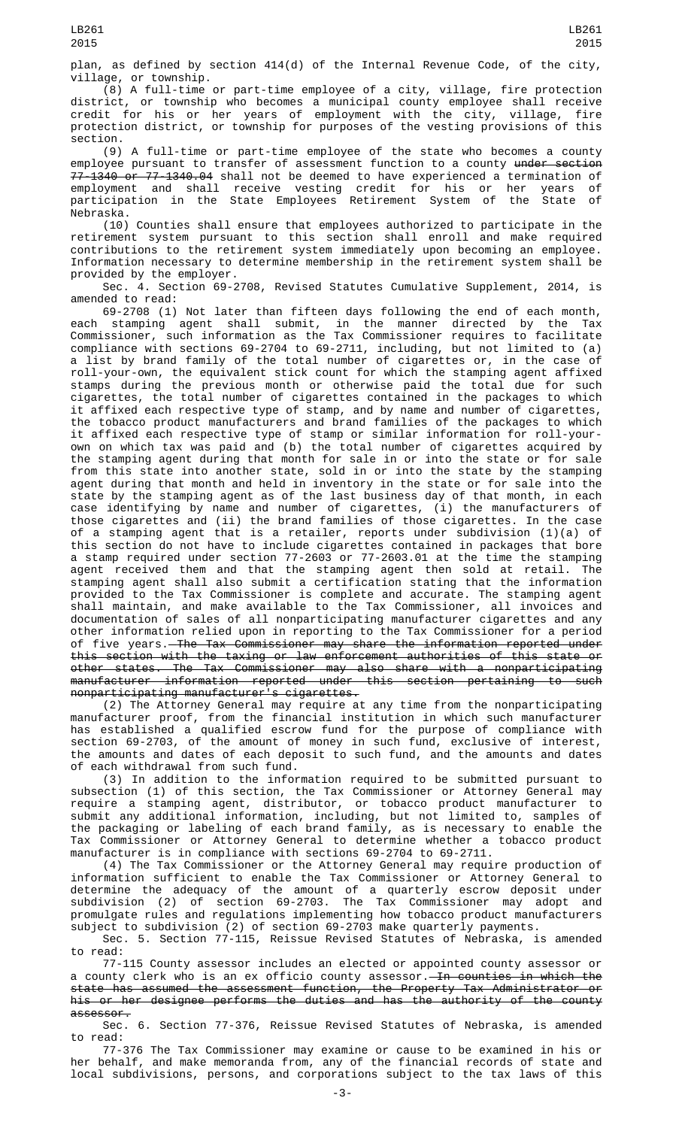plan, as defined by section 414(d) of the Internal Revenue Code, of the city, village, or township.

(8) A full-time or part-time employee of a city, village, fire protection district, or township who becomes a municipal county employee shall receive credit for his or her years of employment with the city, village, fire protection district, or township for purposes of the vesting provisions of this section.

(9) A full-time or part-time employee of the state who becomes a county employee pursuant to transfer of assessment function to a county <del>under section</del> 77-1340 or 77-1340.04 shall not be deemed to have experienced a termination of employment and shall receive vesting credit for his or her years of participation in the State Employees Retirement System of the State of Nebraska.

(10) Counties shall ensure that employees authorized to participate in the retirement system pursuant to this section shall enroll and make required contributions to the retirement system immediately upon becoming an employee. Information necessary to determine membership in the retirement system shall be provided by the employer.

Sec. 4. Section 69-2708, Revised Statutes Cumulative Supplement, 2014, is amended to read:

69-2708 (1) Not later than fifteen days following the end of each month, each stamping agent shall submit, in the manner directed by the Tax Commissioner, such information as the Tax Commissioner requires to facilitate compliance with sections 69-2704 to 69-2711, including, but not limited to (a) a list by brand family of the total number of cigarettes or, in the case of roll-your-own, the equivalent stick count for which the stamping agent affixed stamps during the previous month or otherwise paid the total due for such cigarettes, the total number of cigarettes contained in the packages to which it affixed each respective type of stamp, and by name and number of cigarettes, the tobacco product manufacturers and brand families of the packages to which it affixed each respective type of stamp or similar information for roll-yourown on which tax was paid and (b) the total number of cigarettes acquired by the stamping agent during that month for sale in or into the state or for sale from this state into another state, sold in or into the state by the stamping agent during that month and held in inventory in the state or for sale into the state by the stamping agent as of the last business day of that month, in each case identifying by name and number of cigarettes, (i) the manufacturers of those cigarettes and (ii) the brand families of those cigarettes. In the case of a stamping agent that is a retailer, reports under subdivision (1)(a) of this section do not have to include cigarettes contained in packages that bore a stamp required under section 77-2603 or 77-2603.01 at the time the stamping agent received them and that the stamping agent then sold at retail. The stamping agent shall also submit a certification stating that the information provided to the Tax Commissioner is complete and accurate. The stamping agent shall maintain, and make available to the Tax Commissioner, all invoices and documentation of sales of all nonparticipating manufacturer cigarettes and any other information relied upon in reporting to the Tax Commissioner for a period of five years. The Tax Commissioner may share the information reported under this section with the taxing or law enforcement authorities of this state or other states. The Tax Commissioner may also share with a nonparticipating manufacturer information reported under this section pertaining to such nonparticipating manufacturer's cigarettes.

(2) The Attorney General may require at any time from the nonparticipating manufacturer proof, from the financial institution in which such manufacturer has established a qualified escrow fund for the purpose of compliance with section 69-2703, of the amount of money in such fund, exclusive of interest, the amounts and dates of each deposit to such fund, and the amounts and dates of each withdrawal from such fund.

(3) In addition to the information required to be submitted pursuant to subsection (1) of this section, the Tax Commissioner or Attorney General may require a stamping agent, distributor, or tobacco product manufacturer to submit any additional information, including, but not limited to, samples of the packaging or labeling of each brand family, as is necessary to enable the Tax Commissioner or Attorney General to determine whether a tobacco product manufacturer is in compliance with sections 69-2704 to 69-2711.

(4) The Tax Commissioner or the Attorney General may require production of information sufficient to enable the Tax Commissioner or Attorney General to determine the adequacy of the amount of a quarterly escrow deposit under subdivision (2) of section 69-2703. The Tax Commissioner may adopt and promulgate rules and regulations implementing how tobacco product manufacturers subject to subdivision (2) of section 69-2703 make quarterly payments.

Sec. 5. Section 77-115, Reissue Revised Statutes of Nebraska, is amended to read:

77-115 County assessor includes an elected or appointed county assessor or a county clerk who is an ex officio county assessor. In counties in which the state has assumed the assessment function, the Property Tax Administrator or his or her designee performs the duties and has the authority of the county assessor.

Sec. 6. Section 77-376, Reissue Revised Statutes of Nebraska, is amended to read:

77-376 The Tax Commissioner may examine or cause to be examined in his or her behalf, and make memoranda from, any of the financial records of state and local subdivisions, persons, and corporations subject to the tax laws of this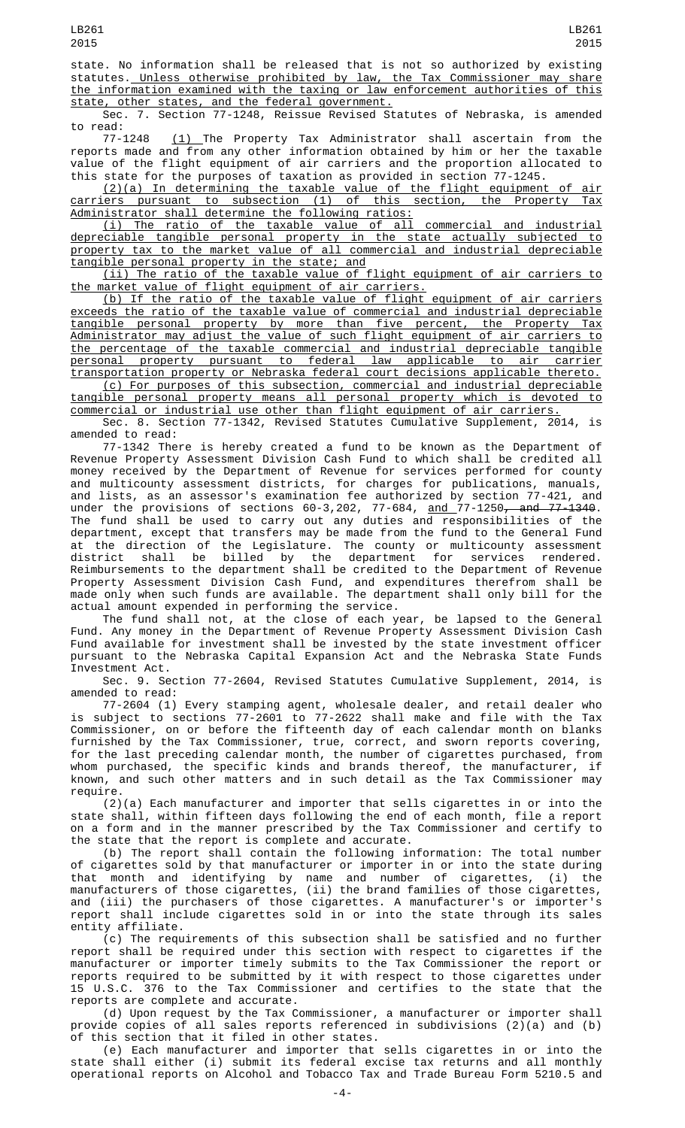state. No information shall be released that is not so authorized by existing statutes. Unless otherwise prohibited by law, the Tax Commissioner may share the information examined with the taxing or law enforcement authorities of this state, other states, and the federal government.

Sec. 7. Section 77-1248, Reissue Revised Statutes of Nebraska, is amended to read:

77-1248 <u>(1) </u>The Property Tax Administrator shall ascertain from the reports made and from any other information obtained by him or her the taxable value of the flight equipment of air carriers and the proportion allocated to this state for the purposes of taxation as provided in section 77-1245.

(2)(a) In determining the taxable value of the flight equipment of air carriers pursuant to subsection (1) of this section, the Property Tax Administrator shall determine the following ratios:

(i) The ratio of the taxable value of all commercial and industrial depreciable tangible personal property in the state actually subjected to property tax to the market value of all commercial and industrial depreciable tangible personal property in the state; and

(ii) The ratio of the taxable value of flight equipment of air carriers to the market value of flight equipment of air carriers.

(b) If the ratio of the taxable value of flight equipment of air carriers exceeds the ratio of the taxable value of commercial and industrial depreciable tangible personal property by more than five percent, the Property Tax Administrator may adjust the value of such flight equipment of air carriers to the percentage of the taxable commercial and industrial depreciable tangible personal property pursuant to federal law applicable to air carrier transportation property or Nebraska federal court decisions applicable thereto.

(c) For purposes of this subsection, commercial and industrial depreciable tangible personal property means all personal property which is devoted to commercial or industrial use other than flight equipment of air carriers.

Sec. 8. Section 77-1342, Revised Statutes Cumulative Supplement, 2014, is amended to read:

77-1342 There is hereby created a fund to be known as the Department of Revenue Property Assessment Division Cash Fund to which shall be credited all money received by the Department of Revenue for services performed for county and multicounty assessment districts, for charges for publications, manuals, and lists, as an assessor's examination fee authorized by section 77-421, and under the provisions of sections 60-3,202, 77-684, <u>and </u>77-1250<del>, and 77-1340</del>. The fund shall be used to carry out any duties and responsibilities of the department, except that transfers may be made from the fund to the General Fund at the direction of the Legislature. The county or multicounty assessment district shall be billed by the department for services rendered. Reimbursements to the department shall be credited to the Department of Revenue Property Assessment Division Cash Fund, and expenditures therefrom shall be made only when such funds are available. The department shall only bill for the actual amount expended in performing the service.

The fund shall not, at the close of each year, be lapsed to the General Fund. Any money in the Department of Revenue Property Assessment Division Cash Fund available for investment shall be invested by the state investment officer pursuant to the Nebraska Capital Expansion Act and the Nebraska State Funds Investment Act.

Sec. 9. Section 77-2604, Revised Statutes Cumulative Supplement, 2014, is amended to read:

77-2604 (1) Every stamping agent, wholesale dealer, and retail dealer who is subject to sections 77-2601 to 77-2622 shall make and file with the Tax Commissioner, on or before the fifteenth day of each calendar month on blanks furnished by the Tax Commissioner, true, correct, and sworn reports covering, for the last preceding calendar month, the number of cigarettes purchased, from whom purchased, the specific kinds and brands thereof, the manufacturer, if known, and such other matters and in such detail as the Tax Commissioner may require.

(2)(a) Each manufacturer and importer that sells cigarettes in or into the state shall, within fifteen days following the end of each month, file a report on a form and in the manner prescribed by the Tax Commissioner and certify to the state that the report is complete and accurate.

(b) The report shall contain the following information: The total number of cigarettes sold by that manufacturer or importer in or into the state during that month and identifying by name and number of cigarettes, (i) the manufacturers of those cigarettes, (ii) the brand families of those cigarettes, and (iii) the purchasers of those cigarettes. A manufacturer's or importer's report shall include cigarettes sold in or into the state through its sales entity affiliate.

(c) The requirements of this subsection shall be satisfied and no further report shall be required under this section with respect to cigarettes if the manufacturer or importer timely submits to the Tax Commissioner the report or reports required to be submitted by it with respect to those cigarettes under 15 U.S.C. 376 to the Tax Commissioner and certifies to the state that the reports are complete and accurate.

(d) Upon request by the Tax Commissioner, a manufacturer or importer shall provide copies of all sales reports referenced in subdivisions (2)(a) and (b) of this section that it filed in other states.

(e) Each manufacturer and importer that sells cigarettes in or into the state shall either (i) submit its federal excise tax returns and all monthly operational reports on Alcohol and Tobacco Tax and Trade Bureau Form 5210.5 and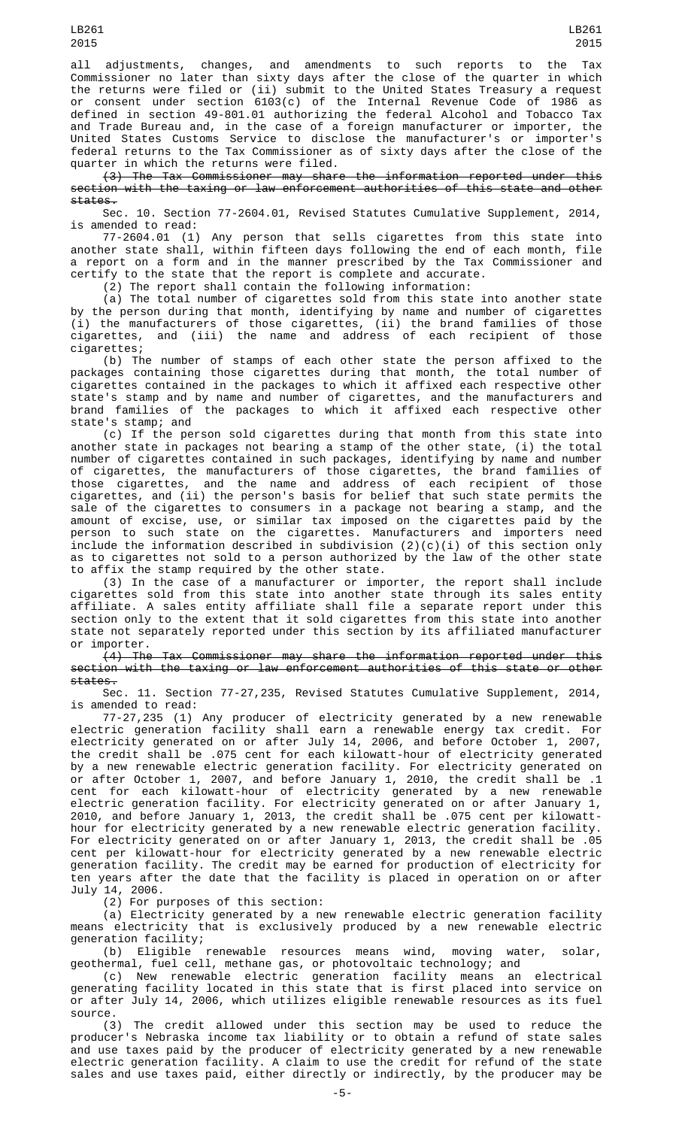LB261 2015

all adjustments, changes, and amendments to such reports to the Tax Commissioner no later than sixty days after the close of the quarter in which the returns were filed or (ii) submit to the United States Treasury a request or consent under section 6103(c) of the Internal Revenue Code of 1986 as defined in section 49-801.01 authorizing the federal Alcohol and Tobacco Tax and Trade Bureau and, in the case of a foreign manufacturer or importer, the United States Customs Service to disclose the manufacturer's or importer's federal returns to the Tax Commissioner as of sixty days after the close of the quarter in which the returns were filed.

(3) The Tax Commissioner may share the information reported under this section with the taxing or law enforcement authorities of this state and other states.

Sec. 10. Section 77-2604.01, Revised Statutes Cumulative Supplement, 2014, is amended to read:

77-2604.01 (1) Any person that sells cigarettes from this state into another state shall, within fifteen days following the end of each month, file a report on a form and in the manner prescribed by the Tax Commissioner and certify to the state that the report is complete and accurate.

(2) The report shall contain the following information:

(a) The total number of cigarettes sold from this state into another state by the person during that month, identifying by name and number of cigarettes (i) the manufacturers of those cigarettes, (ii) the brand families of those cigarettes, and (iii) the name and address of each recipient of those cigarettes;

(b) The number of stamps of each other state the person affixed to the packages containing those cigarettes during that month, the total number of cigarettes contained in the packages to which it affixed each respective other state's stamp and by name and number of cigarettes, and the manufacturers and brand families of the packages to which it affixed each respective other state's stamp; and

(c) If the person sold cigarettes during that month from this state into another state in packages not bearing a stamp of the other state, (i) the total number of cigarettes contained in such packages, identifying by name and number of cigarettes, the manufacturers of those cigarettes, the brand families of those cigarettes, and the name and address of each recipient of those cigarettes, and (ii) the person's basis for belief that such state permits the sale of the cigarettes to consumers in a package not bearing a stamp, and the amount of excise, use, or similar tax imposed on the cigarettes paid by the person to such state on the cigarettes. Manufacturers and importers need include the information described in subdivision  $(2)(\text{c})(\text{i})$  of this section only as to cigarettes not sold to a person authorized by the law of the other state to affix the stamp required by the other state.

(3) In the case of a manufacturer or importer, the report shall include cigarettes sold from this state into another state through its sales entity affiliate. A sales entity affiliate shall file a separate report under this section only to the extent that it sold cigarettes from this state into another state not separately reported under this section by its affiliated manufacturer or importer.

(4) The Tax Commissioner may share the information reported under this section with the taxing or law enforcement authorities of this state or other states.

Sec. 11. Section 77-27,235, Revised Statutes Cumulative Supplement, 2014, is amended to read:

77-27,235 (1) Any producer of electricity generated by a new renewable electric generation facility shall earn a renewable energy tax credit. For electricity generated on or after July 14, 2006, and before October 1, 2007, the credit shall be .075 cent for each kilowatt-hour of electricity generated by a new renewable electric generation facility. For electricity generated on or after October 1, 2007, and before January 1, 2010, the credit shall be .1 cent for each kilowatt-hour of electricity generated by a new renewable electric generation facility. For electricity generated on or after January 1, 2010, and before January 1, 2013, the credit shall be .075 cent per kilowatthour for electricity generated by a new renewable electric generation facility. For electricity generated on or after January 1, 2013, the credit shall be .05 cent per kilowatt-hour for electricity generated by a new renewable electric generation facility. The credit may be earned for production of electricity for ten years after the date that the facility is placed in operation on or after July 14, 2006.

(2) For purposes of this section:

(a) Electricity generated by a new renewable electric generation facility means electricity that is exclusively produced by a new renewable electric generation facility;

(b) Eligible renewable resources means wind, moving water, solar, geothermal, fuel cell, methane gas, or photovoltaic technology; and

(c) New renewable electric generation facility means an electrical generating facility located in this state that is first placed into service on or after July 14, 2006, which utilizes eligible renewable resources as its fuel source.

(3) The credit allowed under this section may be used to reduce the producer's Nebraska income tax liability or to obtain a refund of state sales and use taxes paid by the producer of electricity generated by a new renewable electric generation facility. A claim to use the credit for refund of the state sales and use taxes paid, either directly or indirectly, by the producer may be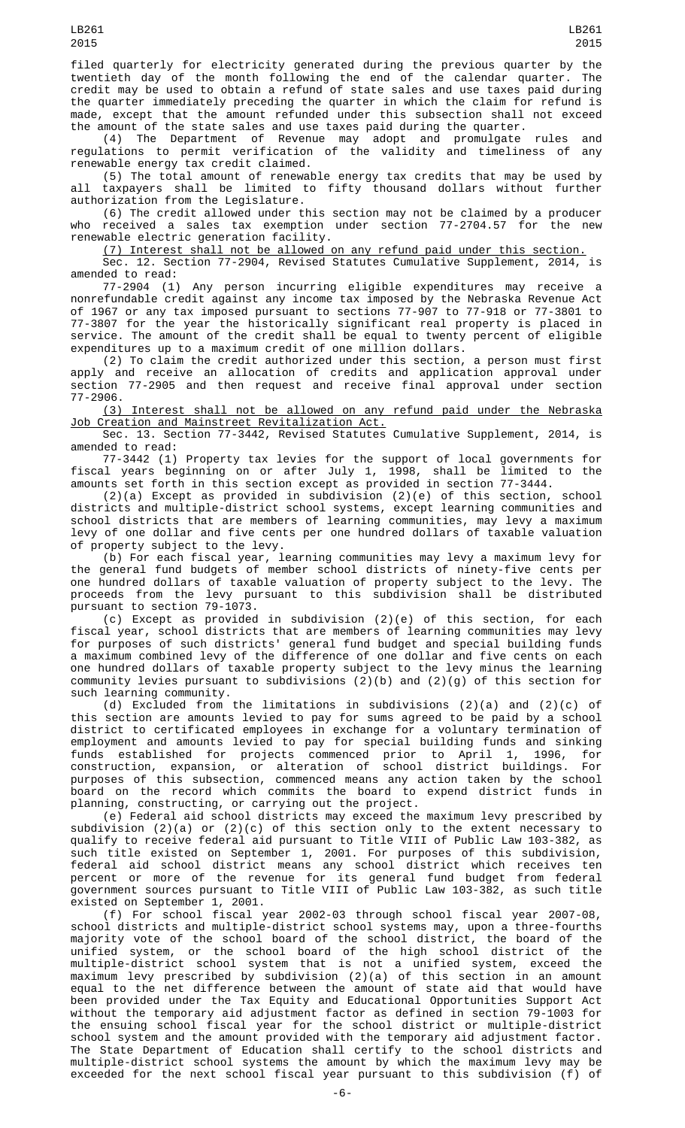filed quarterly for electricity generated during the previous quarter by the twentieth day of the month following the end of the calendar quarter. The credit may be used to obtain a refund of state sales and use taxes paid during the quarter immediately preceding the quarter in which the claim for refund is made, except that the amount refunded under this subsection shall not exceed the amount of the state sales and use taxes paid during the quarter.

(4) The Department of Revenue may adopt and promulgate rules and regulations to permit verification of the validity and timeliness of any renewable energy tax credit claimed.

(5) The total amount of renewable energy tax credits that may be used by all taxpayers shall be limited to fifty thousand dollars without further authorization from the Legislature.

(6) The credit allowed under this section may not be claimed by a producer who received a sales tax exemption under section 77-2704.57 for the new renewable electric generation facility.

(7) Interest shall not be allowed on any refund paid under this section.

Sec. 12. Section 77-2904, Revised Statutes Cumulative Supplement, 2014, is amended to read:

77-2904 (1) Any person incurring eligible expenditures may receive a nonrefundable credit against any income tax imposed by the Nebraska Revenue Act of 1967 or any tax imposed pursuant to sections 77-907 to 77-918 or 77-3801 to 77-3807 for the year the historically significant real property is placed in service. The amount of the credit shall be equal to twenty percent of eligible expenditures up to a maximum credit of one million dollars.

(2) To claim the credit authorized under this section, a person must first apply and receive an allocation of credits and application approval under section 77-2905 and then request and receive final approval under section 77-2906.

(3) Interest shall not be allowed on any refund paid under the Nebraska Job Creation and Mainstreet Revitalization Act.

Sec. 13. Section 77-3442, Revised Statutes Cumulative Supplement, 2014, is amended to read:

77-3442 (1) Property tax levies for the support of local governments for fiscal years beginning on or after July 1, 1998, shall be limited to the amounts set forth in this section except as provided in section 77-3444.

(2)(a) Except as provided in subdivision (2)(e) of this section, school districts and multiple-district school systems, except learning communities and school districts that are members of learning communities, may levy a maximum levy of one dollar and five cents per one hundred dollars of taxable valuation of property subject to the levy.

(b) For each fiscal year, learning communities may levy a maximum levy for the general fund budgets of member school districts of ninety-five cents per one hundred dollars of taxable valuation of property subject to the levy. The proceeds from the levy pursuant to this subdivision shall be distributed pursuant to section 79-1073.

(c) Except as provided in subdivision (2)(e) of this section, for each fiscal year, school districts that are members of learning communities may levy for purposes of such districts' general fund budget and special building funds a maximum combined levy of the difference of one dollar and five cents on each one hundred dollars of taxable property subject to the levy minus the learning community levies pursuant to subdivisions (2)(b) and (2)(g) of this section for such learning community.

(d) Excluded from the limitations in subdivisions (2)(a) and (2)(c) of this section are amounts levied to pay for sums agreed to be paid by a school district to certificated employees in exchange for a voluntary termination of employment and amounts levied to pay for special building funds and sinking funds established for projects commenced prior to April 1, 1996, for construction, expansion, or alteration of school district buildings. For purposes of this subsection, commenced means any action taken by the school board on the record which commits the board to expend district funds in planning, constructing, or carrying out the project.

(e) Federal aid school districts may exceed the maximum levy prescribed by subdivision (2)(a) or (2)(c) of this section only to the extent necessary to qualify to receive federal aid pursuant to Title VIII of Public Law 103-382, as such title existed on September 1, 2001. For purposes of this subdivision, federal aid school district means any school district which receives ten percent or more of the revenue for its general fund budget from federal government sources pursuant to Title VIII of Public Law 103-382, as such title existed on September 1, 2001.<br>(f) For school fiscal year 2002-03 through school fiscal year 2007-08,

(f) For school fiscal year 2002-03 through school fiscal year 2007-08, school districts and multiple-district school systems may, upon a three-fourths majority vote of the school board of the school district, the board of the unified system, or the school board of the high school district of the multiple-district school system that is not a unified system, exceed the maximum levy prescribed by subdivision (2)(a) of this section in an amount equal to the net difference between the amount of state aid that would have been provided under the Tax Equity and Educational Opportunities Support Act without the temporary aid adjustment factor as defined in section 79-1003 for the ensuing school fiscal year for the school district or multiple-district school system and the amount provided with the temporary aid adjustment factor. The State Department of Education shall certify to the school districts and multiple-district school systems the amount by which the maximum levy may be exceeded for the next school fiscal year pursuant to this subdivision (f) of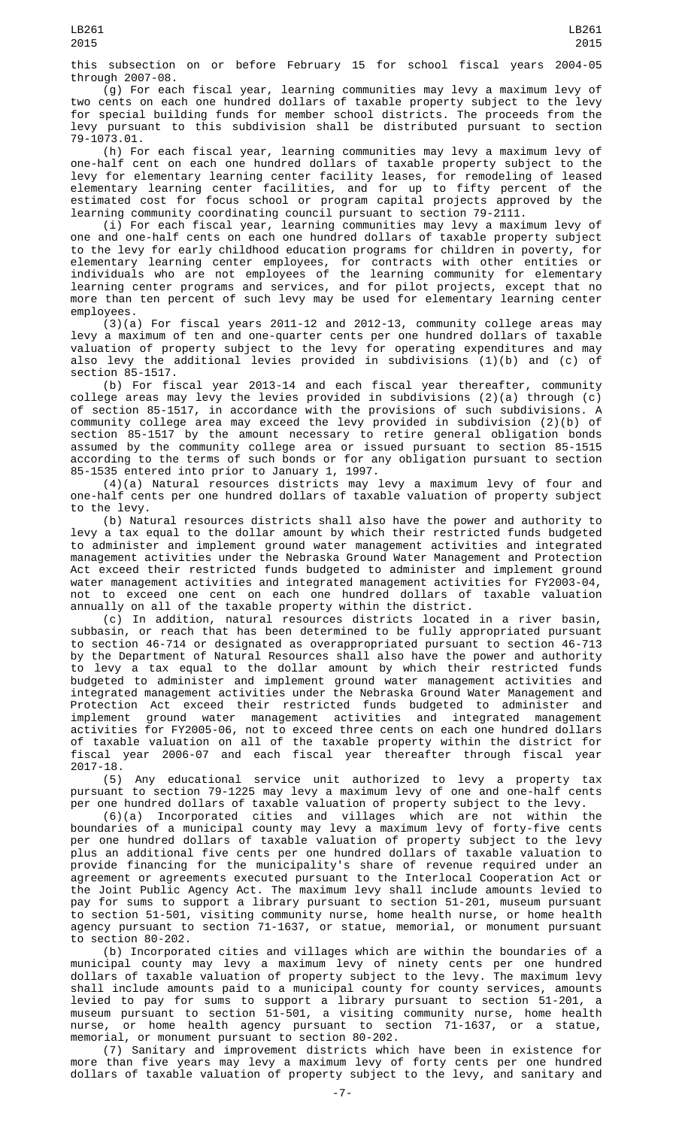this subsection on or before February 15 for school fiscal years 2004-05 through 2007-08.

(g) For each fiscal year, learning communities may levy a maximum levy of two cents on each one hundred dollars of taxable property subject to the levy for special building funds for member school districts. The proceeds from the levy pursuant to this subdivision shall be distributed pursuant to section 79-1073.01.

(h) For each fiscal year, learning communities may levy a maximum levy of one-half cent on each one hundred dollars of taxable property subject to the levy for elementary learning center facility leases, for remodeling of leased elementary learning center facilities, and for up to fifty percent of the estimated cost for focus school or program capital projects approved by the learning community coordinating council pursuant to section 79-2111.

(i) For each fiscal year, learning communities may levy a maximum levy of one and one-half cents on each one hundred dollars of taxable property subject to the levy for early childhood education programs for children in poverty, for elementary learning center employees, for contracts with other entities or individuals who are not employees of the learning community for elementary learning center programs and services, and for pilot projects, except that no more than ten percent of such levy may be used for elementary learning center employees.

(3)(a) For fiscal years 2011-12 and 2012-13, community college areas may levy a maximum of ten and one-quarter cents per one hundred dollars of taxable valuation of property subject to the levy for operating expenditures and may also levy the additional levies provided in subdivisions (1)(b) and (c) of section 85-1517.

(b) For fiscal year 2013-14 and each fiscal year thereafter, community college areas may levy the levies provided in subdivisions (2)(a) through (c) of section 85-1517, in accordance with the provisions of such subdivisions. A community college area may exceed the levy provided in subdivision (2)(b) of section 85-1517 by the amount necessary to retire general obligation bonds assumed by the community college area or issued pursuant to section 85-1515 according to the terms of such bonds or for any obligation pursuant to section 85-1535 entered into prior to January 1, 1997.

(4)(a) Natural resources districts may levy a maximum levy of four and one-half cents per one hundred dollars of taxable valuation of property subject to the levy.

(b) Natural resources districts shall also have the power and authority to levy a tax equal to the dollar amount by which their restricted funds budgeted to administer and implement ground water management activities and integrated management activities under the Nebraska Ground Water Management and Protection Act exceed their restricted funds budgeted to administer and implement ground water management activities and integrated management activities for FY2003-04, not to exceed one cent on each one hundred dollars of taxable valuation annually on all of the taxable property within the district.

(c) In addition, natural resources districts located in a river basin, subbasin, or reach that has been determined to be fully appropriated pursuant to section 46-714 or designated as overappropriated pursuant to section 46-713 by the Department of Natural Resources shall also have the power and authority to levy a tax equal to the dollar amount by which their restricted funds budgeted to administer and implement ground water management activities and integrated management activities under the Nebraska Ground Water Management and Protection Act exceed their restricted funds budgeted to administer and implement ground water management activities and integrated management activities for FY2005-06, not to exceed three cents on each one hundred dollars of taxable valuation on all of the taxable property within the district for fiscal year 2006-07 and each fiscal year thereafter through fiscal year 2017-18.

(5) Any educational service unit authorized to levy a property tax pursuant to section 79-1225 may levy a maximum levy of one and one-half cents per one hundred dollars of taxable valuation of property subject to the levy.

(6)(a) Incorporated cities and villages which are not within the boundaries of a municipal county may levy a maximum levy of forty-five cents per one hundred dollars of taxable valuation of property subject to the levy plus an additional five cents per one hundred dollars of taxable valuation to provide financing for the municipality's share of revenue required under an agreement or agreements executed pursuant to the Interlocal Cooperation Act or the Joint Public Agency Act. The maximum levy shall include amounts levied to pay for sums to support a library pursuant to section 51-201, museum pursuant to section 51-501, visiting community nurse, home health nurse, or home health agency pursuant to section 71-1637, or statue, memorial, or monument pursuant to section 80-202.

(b) Incorporated cities and villages which are within the boundaries of a municipal county may levy a maximum levy of ninety cents per one hundred dollars of taxable valuation of property subject to the levy. The maximum levy shall include amounts paid to a municipal county for county services, amounts levied to pay for sums to support a library pursuant to section 51-201, a museum pursuant to section 51-501, a visiting community nurse, home health nurse, or home health agency pursuant to section 71-1637, or a statue, memorial, or monument pursuant to section 80-202.

(7) Sanitary and improvement districts which have been in existence for more than five years may levy a maximum levy of forty cents per one hundred dollars of taxable valuation of property subject to the levy, and sanitary and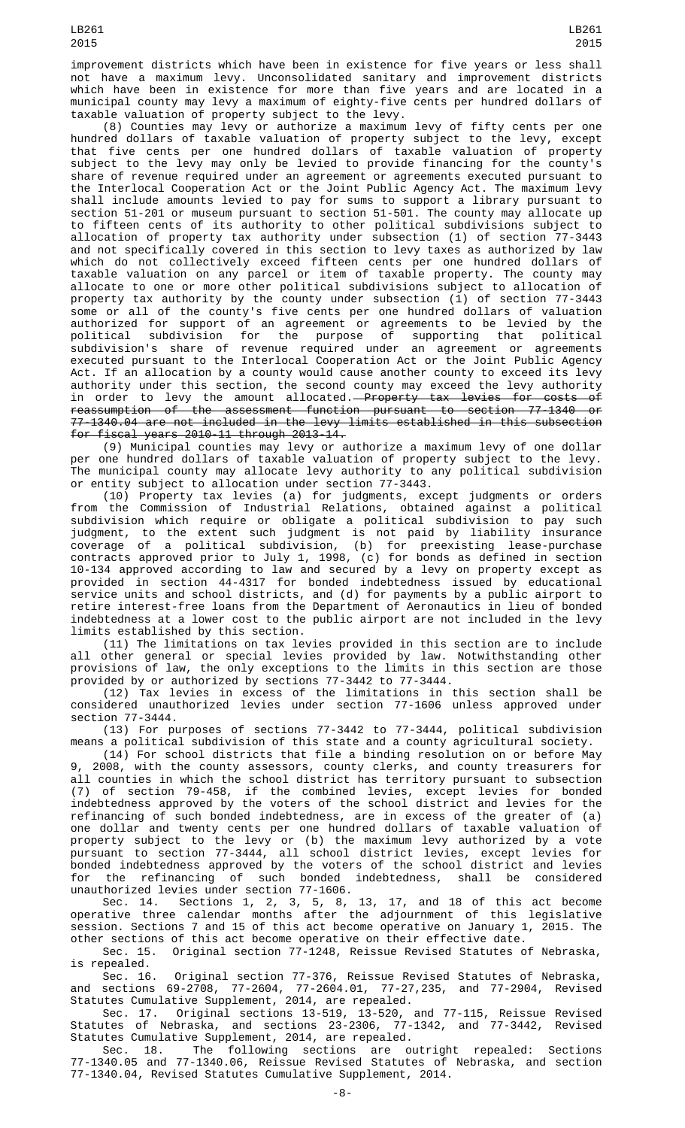improvement districts which have been in existence for five years or less shall not have a maximum levy. Unconsolidated sanitary and improvement districts which have been in existence for more than five years and are located in a municipal county may levy a maximum of eighty-five cents per hundred dollars of taxable valuation of property subject to the levy.

(8) Counties may levy or authorize a maximum levy of fifty cents per one hundred dollars of taxable valuation of property subject to the levy, except that five cents per one hundred dollars of taxable valuation of property subject to the levy may only be levied to provide financing for the county's share of revenue required under an agreement or agreements executed pursuant to the Interlocal Cooperation Act or the Joint Public Agency Act. The maximum levy shall include amounts levied to pay for sums to support a library pursuant to section 51-201 or museum pursuant to section 51-501. The county may allocate up to fifteen cents of its authority to other political subdivisions subject to allocation of property tax authority under subsection (1) of section 77-3443 and not specifically covered in this section to levy taxes as authorized by law which do not collectively exceed fifteen cents per one hundred dollars of taxable valuation on any parcel or item of taxable property. The county may allocate to one or more other political subdivisions subject to allocation of property tax authority by the county under subsection (1) of section 77-3443 some or all of the county's five cents per one hundred dollars of valuation authorized for support of an agreement or agreements to be levied by the political subdivision for the purpose of supporting that political subdivision's share of revenue required under an agreement or agreements executed pursuant to the Interlocal Cooperation Act or the Joint Public Agency Act. If an allocation by a county would cause another county to exceed its levy authority under this section, the second county may exceed the levy authority in order to levy the amount allocated.—<del>Property tax levies for costs of</del> reassumption of the assessment function pursuant to section 77-1340 or  $77-1340.04$  are not included in the levy limits established in this subsection for fiscal years 2010-11 through 2013-14.

(9) Municipal counties may levy or authorize a maximum levy of one dollar per one hundred dollars of taxable valuation of property subject to the levy. The municipal county may allocate levy authority to any political subdivision or entity subject to allocation under section 77-3443.

(10) Property tax levies (a) for judgments, except judgments or orders from the Commission of Industrial Relations, obtained against a political subdivision which require or obligate a political subdivision to pay such judgment, to the extent such judgment is not paid by liability insurance coverage of a political subdivision, (b) for preexisting lease-purchase contracts approved prior to July 1, 1998, (c) for bonds as defined in section 10-134 approved according to law and secured by a levy on property except as provided in section 44-4317 for bonded indebtedness issued by educational service units and school districts, and (d) for payments by a public airport to retire interest-free loans from the Department of Aeronautics in lieu of bonded indebtedness at a lower cost to the public airport are not included in the levy limits established by this section.

(11) The limitations on tax levies provided in this section are to include all other general or special levies provided by law. Notwithstanding other provisions of law, the only exceptions to the limits in this section are those provided by or authorized by sections 77-3442 to 77-3444.

(12) Tax levies in excess of the limitations in this section shall be considered unauthorized levies under section 77-1606 unless approved under section 77-3444.

(13) For purposes of sections 77-3442 to 77-3444, political subdivision means a political subdivision of this state and a county agricultural society.

(14) For school districts that file a binding resolution on or before May 2008, with the county assessors, county clerks, and county treasurers for all counties in which the school district has territory pursuant to subsection (7) of section 79-458, if the combined levies, except levies for bonded indebtedness approved by the voters of the school district and levies for the refinancing of such bonded indebtedness, are in excess of the greater of (a) one dollar and twenty cents per one hundred dollars of taxable valuation of property subject to the levy or (b) the maximum levy authorized by a vote pursuant to section 77-3444, all school district levies, except levies for bonded indebtedness approved by the voters of the school district and levies for the refinancing of such bonded indebtedness, shall be considered unauthorized levies under section 77-1606.

Sec. 14. Sections 1, 2, 3, 5, 8, 13, 17, and 18 of this act become operative three calendar months after the adjournment of this legislative session. Sections 7 and 15 of this act become operative on January 1, 2015. The other sections of this act become operative on their effective date.

Sec. 15. Original section 77-1248, Reissue Revised Statutes of Nebraska, is repealed.

Sec. 16. Original section 77-376, Reissue Revised Statutes of Nebraska, and sections 69-2708, 77-2604, 77-2604.01, 77-27,235, and 77-2904, Revised Statutes Cumulative Supplement, 2014, are repealed.

Sec. 17. Original sections 13-519, 13-520, and 77-115, Reissue Revised Statutes of Nebraska, and sections 23-2306, 77-1342, and 77-3442, Revised Statutes Cumulative Supplement, 2014, are repealed.

Sec. 18. The following sections are outright repealed: Sections 77-1340.05 and 77-1340.06, Reissue Revised Statutes of Nebraska, and section 77-1340.04, Revised Statutes Cumulative Supplement, 2014.